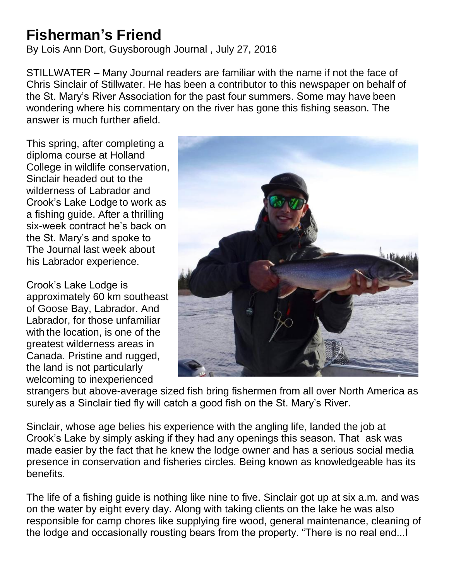## **Fisherman's Friend**

By Lois Ann Dort, Guysborough Journal , July 27, 2016

STILLWATER – Many Journal readers are familiar with the name if not the face of Chris Sinclair of Stillwater. He has been a contributor to this newspaper on behalf of the St. Mary's River Association for the past four summers. Some may have been wondering where his commentary on the river has gone this fishing season. The answer is much further afield.

This spring, after completing a diploma course at Holland College in wildlife conservation, Sinclair headed out to the wilderness of Labrador and Crook's Lake Lodge to work as a fishing guide. After a thrilling six-week contract he's back on the St. Mary's and spoke to The Journal last week about his Labrador experience.

Crook's Lake Lodge is approximately 60 km southeast of Goose Bay, Labrador. And Labrador, for those unfamiliar with the location, is one of the greatest wilderness areas in Canada. Pristine and rugged, the land is not particularly welcoming to inexperienced



strangers but above-average sized fish bring fishermen from all over North America as surely as a Sinclair tied fly will catch a good fish on the St. Mary's River.

Sinclair, whose age belies his experience with the angling life, landed the job at Crook's Lake by simply asking if they had any openings this season. That ask was made easier by the fact that he knew the lodge owner and has a serious social media presence in conservation and fisheries circles. Being known as knowledgeable has its benefits.

The life of a fishing guide is nothing like nine to five. Sinclair got up at six a.m. and was on the water by eight every day. Along with taking clients on the lake he was also responsible for camp chores like supplying fire wood, general maintenance, cleaning of the lodge and occasionally rousting bears from the property. "There is no real end...I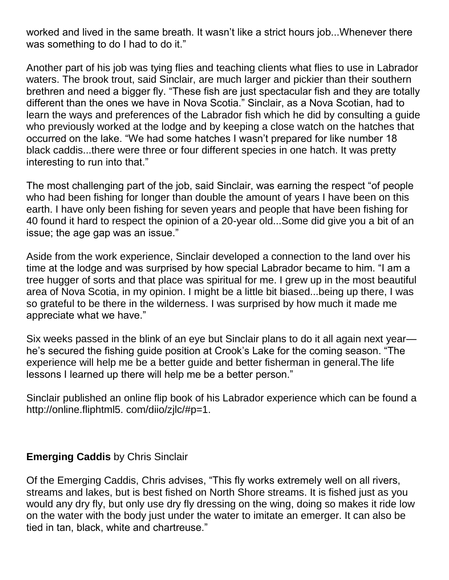worked and lived in the same breath. It wasn't like a strict hours job...Whenever there was something to do I had to do it."

Another part of his job was tying flies and teaching clients what flies to use in Labrador waters. The brook trout, said Sinclair, are much larger and pickier than their southern brethren and need a bigger fly. "These fish are just spectacular fish and they are totally different than the ones we have in Nova Scotia." Sinclair, as a Nova Scotian, had to learn the ways and preferences of the Labrador fish which he did by consulting a guide who previously worked at the lodge and by keeping a close watch on the hatches that occurred on the lake. "We had some hatches I wasn't prepared for like number 18 black caddis...there were three or four different species in one hatch. It was pretty interesting to run into that."

The most challenging part of the job, said Sinclair, was earning the respect "of people who had been fishing for longer than double the amount of years I have been on this earth. I have only been fishing for seven years and people that have been fishing for 40 found it hard to respect the opinion of a 20-year old...Some did give you a bit of an issue; the age gap was an issue."

Aside from the work experience, Sinclair developed a connection to the land over his time at the lodge and was surprised by how special Labrador became to him. "I am a tree hugger of sorts and that place was spiritual for me. I grew up in the most beautiful area of Nova Scotia, in my opinion. I might be a little bit biased...being up there, I was so grateful to be there in the wilderness. I was surprised by how much it made me appreciate what we have."

Six weeks passed in the blink of an eye but Sinclair plans to do it all again next year he's secured the fishing guide position at Crook's Lake for the coming season. "The experience will help me be a better guide and better fisherman in general.The life lessons I learned up there will help me be a better person."

Sinclair published an online flip book of his Labrador experience which can be found a http://online.fliphtml5. com/diio/zjlc/#p=1.

## **Emerging Caddis** by Chris Sinclair

Of the Emerging Caddis, Chris advises, "This fly works extremely well on all rivers, streams and lakes, but is best fished on North Shore streams. It is fished just as you would any dry fly, but only use dry fly dressing on the wing, doing so makes it ride low on the water with the body just under the water to imitate an emerger. It can also be tied in tan, black, white and chartreuse."